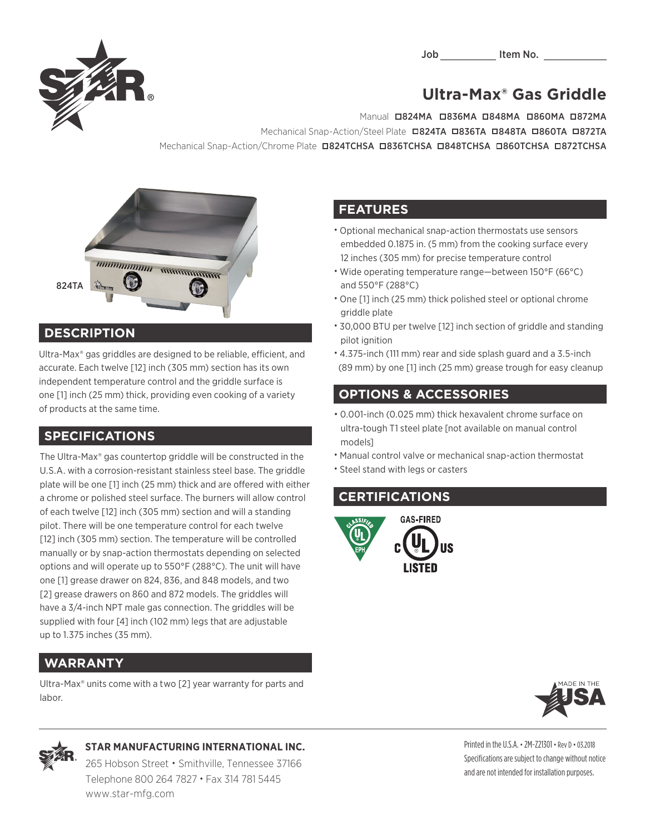Job Item No.



# **Ultra-Max® Gas Griddle**

Manual **□824MA □836MA □848MA □860MA □872MA** Mechanical Snap-Action/Steel Plate **0824TA 0836TA 0848TA 0860TA 0872TA** Mechanical Snap-Action/Chrome Plate **¤824TCHSA ¤836TCHSA ¤848TCHSA ¤860TCHSA ¤872TCHSA** 



#### **DESCRIPTION**

Ultra-Max® gas griddles are designed to be reliable, efficient, and accurate. Each twelve [12] inch (305 mm) section has its own independent temperature control and the griddle surface is one [1] inch (25 mm) thick, providing even cooking of a variety of products at the same time.

#### **SPECIFICATIONS**

The Ultra-Max® gas countertop griddle will be constructed in the U.S.A. with a corrosion-resistant stainless steel base. The griddle plate will be one [1] inch (25 mm) thick and are offered with either a chrome or polished steel surface. The burners will allow control of each twelve [12] inch (305 mm) section and will a standing pilot. There will be one temperature control for each twelve [12] inch (305 mm) section. The temperature will be controlled manually or by snap-action thermostats depending on selected options and will operate up to 550°F (288°C). The unit will have one [1] grease drawer on 824, 836, and 848 models, and two [2] grease drawers on 860 and 872 models. The griddles will have a 3/4-inch NPT male gas connection. The griddles will be supplied with four [4] inch (102 mm) legs that are adjustable up to 1.375 inches (35 mm).

#### **WARRANTY**

Ultra-Max® units come with a two [2] year warranty for parts and labor.

## **FEATURES**

- Optional mechanical snap-action thermostats use sensors embedded 0.1875 in. (5 mm) from the cooking surface every 12 inches (305 mm) for precise temperature control
- Wide operating temperature range—between 150°F (66°C) and 550°F (288°C)
- One [1] inch (25 mm) thick polished steel or optional chrome griddle plate
- 30,000 BTU per twelve [12] inch section of griddle and standing pilot ignition
- 4.375-inch (111 mm) rear and side splash guard and a 3.5-inch (89 mm) by one [1] inch (25 mm) grease trough for easy cleanup

## **OPTIONS & ACCESSORIES**

- 0.001-inch (0.025 mm) thick hexavalent chrome surface on ultra-tough T1 steel plate [not available on manual control models]
- Manual control valve or mechanical snap-action thermostat
- Steel stand with legs or casters

#### **CERTIFICATIONS**







#### **STAR MANUFACTURING INTERNATIONAL INC.**

265 Hobson Street • Smithville, Tennessee 37166 Telephone 800 264 7827 • Fax 314 781 5445 www.star-mfg.com

Printed in the U.S.A. • 2M-Z21301 • Rev D • 03.2018 Specifications are subject to change without notice and are not intended for installation purposes.